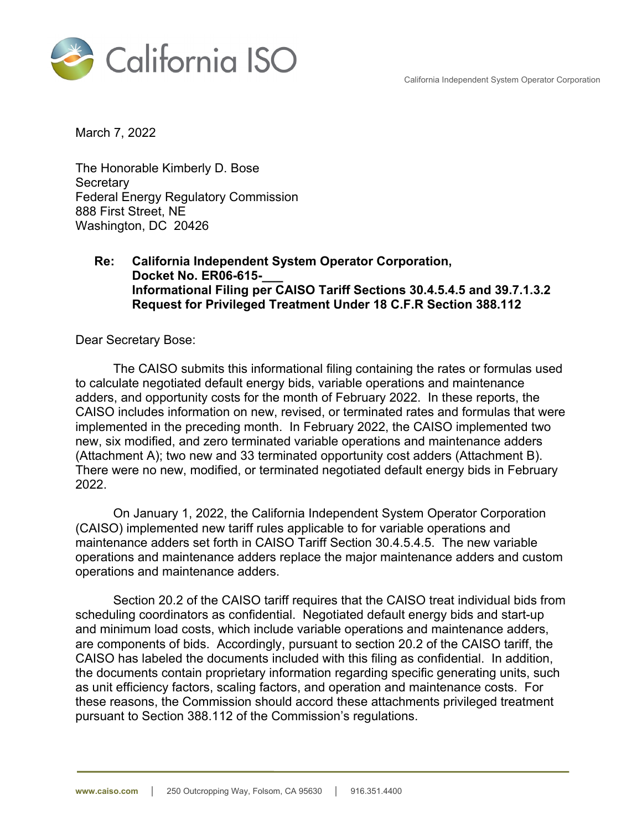California Independent System Operator Corporation



March 7, 2022

The Honorable Kimberly D. Bose **Secretary** Federal Energy Regulatory Commission 888 First Street, NE Washington, DC 20426

## **Re: California Independent System Operator Corporation, Docket No. ER06-615-\_\_\_ Informational Filing per CAISO Tariff Sections 30.4.5.4.5 and 39.7.1.3.2 Request for Privileged Treatment Under 18 C.F.R Section 388.112**

Dear Secretary Bose:

The CAISO submits this informational filing containing the rates or formulas used to calculate negotiated default energy bids, variable operations and maintenance adders, and opportunity costs for the month of February 2022. In these reports, the CAISO includes information on new, revised, or terminated rates and formulas that were implemented in the preceding month. In February 2022, the CAISO implemented two new, six modified, and zero terminated variable operations and maintenance adders (Attachment A); two new and 33 terminated opportunity cost adders (Attachment B). There were no new, modified, or terminated negotiated default energy bids in February 2022.

On January 1, 2022, the California Independent System Operator Corporation (CAISO) implemented new tariff rules applicable to for variable operations and maintenance adders set forth in CAISO Tariff Section 30.4.5.4.5. The new variable operations and maintenance adders replace the major maintenance adders and custom operations and maintenance adders.

Section 20.2 of the CAISO tariff requires that the CAISO treat individual bids from scheduling coordinators as confidential. Negotiated default energy bids and start-up and minimum load costs, which include variable operations and maintenance adders, are components of bids. Accordingly, pursuant to section 20.2 of the CAISO tariff, the CAISO has labeled the documents included with this filing as confidential. In addition, the documents contain proprietary information regarding specific generating units, such as unit efficiency factors, scaling factors, and operation and maintenance costs. For these reasons, the Commission should accord these attachments privileged treatment pursuant to Section 388.112 of the Commission's regulations.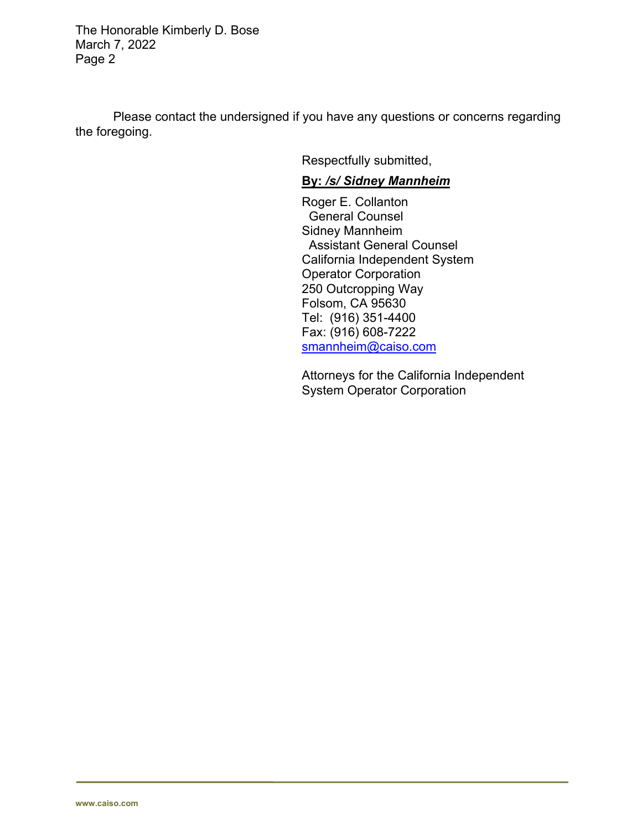The Honorable Kimberly D. Bose March 7, 2022 Page 2

Please contact the undersigned if you have any questions or concerns regarding the foregoing.

Respectfully submitted,

## **By:** */s/ Sidney Mannheim*

Roger E. Collanton General Counsel Sidney Mannheim Assistant General Counsel California Independent System Operator Corporation 250 Outcropping Way Folsom, CA 95630 Tel: (916) 351-4400 Fax: (916) 608-7222 smannheim@caiso.com

Attorneys for the California Independent System Operator Corporation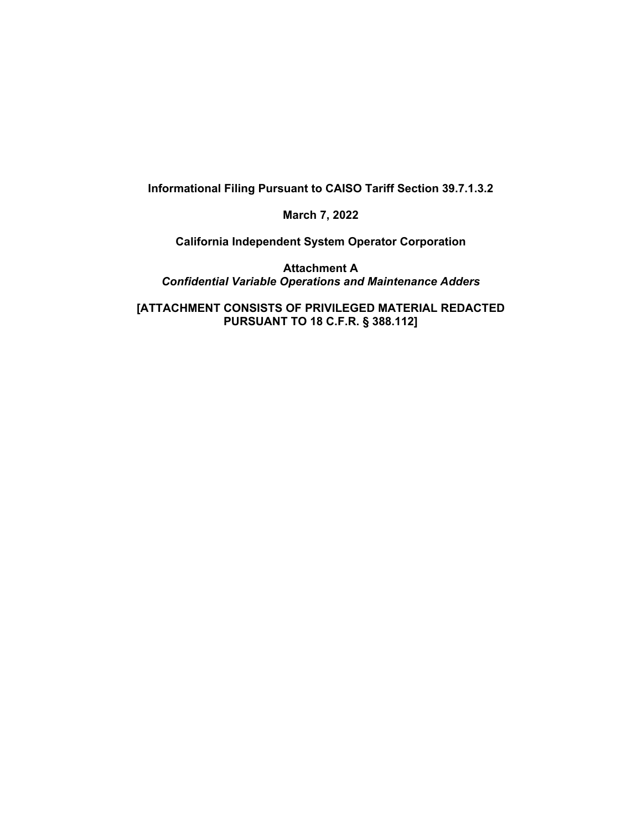**Informational Filing Pursuant to CAISO Tariff Section 39.7.1.3.2** 

**March 7, 2022** 

**California Independent System Operator Corporation** 

**Attachment A**  *Confidential Variable Operations and Maintenance Adders* 

**[ATTACHMENT CONSISTS OF PRIVILEGED MATERIAL REDACTED PURSUANT TO 18 C.F.R. § 388.112]**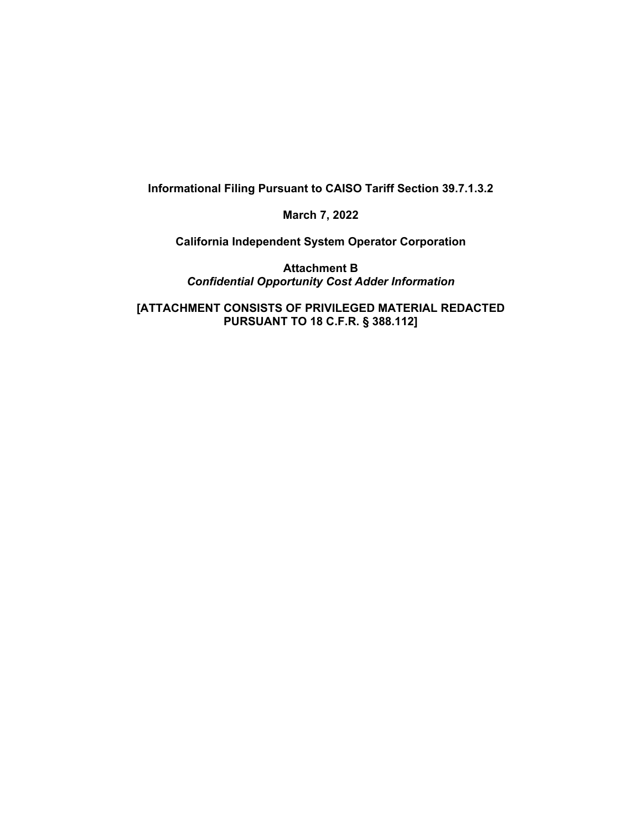**Informational Filing Pursuant to CAISO Tariff Section 39.7.1.3.2** 

**March 7, 2022** 

**California Independent System Operator Corporation** 

**Attachment B**  *Confidential Opportunity Cost Adder Information* 

**[ATTACHMENT CONSISTS OF PRIVILEGED MATERIAL REDACTED PURSUANT TO 18 C.F.R. § 388.112]**